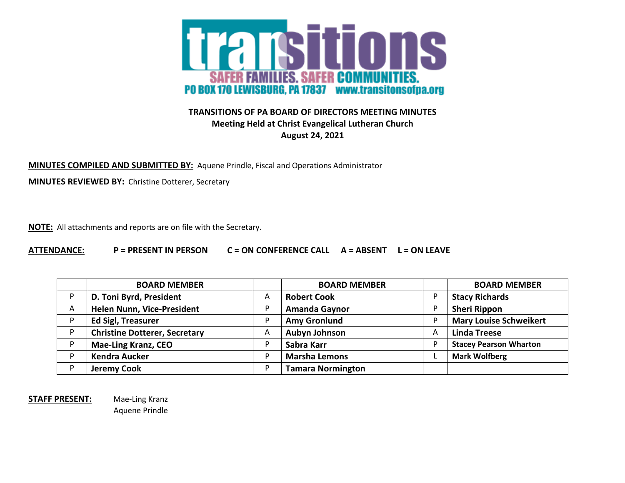

## **TRANSITIONS OF PA BOARD OF DIRECTORS MEETING MINUTES Meeting Held at Christ Evangelical Lutheran Church August 24, 2021**

**MINUTES COMPILED AND SUBMITTED BY:** Aquene Prindle, Fiscal and Operations Administrator

**MINUTES REVIEWED BY:** Christine Dotterer, Secretary

**NOTE:** All attachments and reports are on file with the Secretary.

**ATTENDANCE: P = PRESENT IN PERSON C = ON CONFERENCE CALL A = ABSENT L = ON LEAVE**

|   | <b>BOARD MEMBER</b>                  |   | <b>BOARD MEMBER</b>      |   | <b>BOARD MEMBER</b>           |
|---|--------------------------------------|---|--------------------------|---|-------------------------------|
| D | D. Toni Byrd, President              | A | <b>Robert Cook</b>       |   | <b>Stacy Richards</b>         |
| A | Helen Nunn, Vice-President           | P | <b>Amanda Gaynor</b>     |   | <b>Sheri Rippon</b>           |
| D | <b>Ed Sigl, Treasurer</b>            | P | <b>Amy Gronlund</b>      |   | <b>Mary Louise Schweikert</b> |
| D | <b>Christine Dotterer, Secretary</b> | A | <b>Aubyn Johnson</b>     | A | <b>Linda Treese</b>           |
| D | <b>Mae-Ling Kranz, CEO</b>           |   | Sabra Karr               | D | <b>Stacey Pearson Wharton</b> |
| D | <b>Kendra Aucker</b>                 | D | <b>Marsha Lemons</b>     |   | <b>Mark Wolfberg</b>          |
| D | <b>Jeremy Cook</b>                   | D | <b>Tamara Normington</b> |   |                               |

**STAFF PRESENT:** Mae-Ling Kranz

Aquene Prindle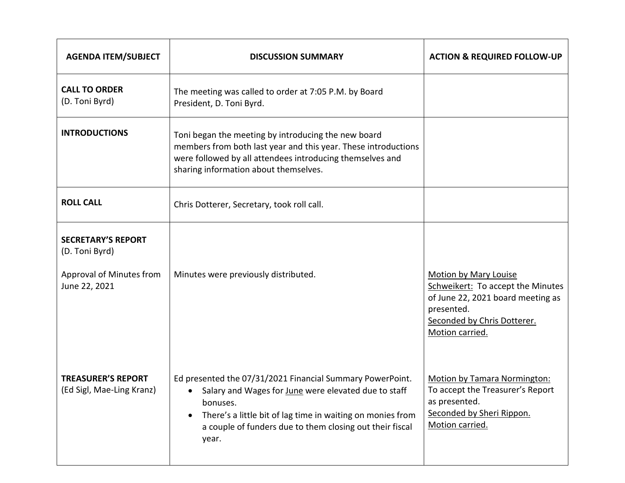| <b>AGENDA ITEM/SUBJECT</b>                             | <b>DISCUSSION SUMMARY</b>                                                                                                                                                                                                                                                                  | <b>ACTION &amp; REQUIRED FOLLOW-UP</b>                                                                                                                                 |
|--------------------------------------------------------|--------------------------------------------------------------------------------------------------------------------------------------------------------------------------------------------------------------------------------------------------------------------------------------------|------------------------------------------------------------------------------------------------------------------------------------------------------------------------|
| <b>CALL TO ORDER</b><br>(D. Toni Byrd)                 | The meeting was called to order at 7:05 P.M. by Board<br>President, D. Toni Byrd.                                                                                                                                                                                                          |                                                                                                                                                                        |
| <b>INTRODUCTIONS</b>                                   | Toni began the meeting by introducing the new board<br>members from both last year and this year. These introductions<br>were followed by all attendees introducing themselves and<br>sharing information about themselves.                                                                |                                                                                                                                                                        |
| <b>ROLL CALL</b>                                       | Chris Dotterer, Secretary, took roll call.                                                                                                                                                                                                                                                 |                                                                                                                                                                        |
| <b>SECRETARY'S REPORT</b><br>(D. Toni Byrd)            |                                                                                                                                                                                                                                                                                            |                                                                                                                                                                        |
| Approval of Minutes from<br>June 22, 2021              | Minutes were previously distributed.                                                                                                                                                                                                                                                       | <b>Motion by Mary Louise</b><br>Schweikert: To accept the Minutes<br>of June 22, 2021 board meeting as<br>presented.<br>Seconded by Chris Dotterer.<br>Motion carried. |
| <b>TREASURER'S REPORT</b><br>(Ed Sigl, Mae-Ling Kranz) | Ed presented the 07/31/2021 Financial Summary PowerPoint.<br>Salary and Wages for June were elevated due to staff<br>$\bullet$<br>bonuses.<br>There's a little bit of lag time in waiting on monies from<br>$\bullet$<br>a couple of funders due to them closing out their fiscal<br>year. | <b>Motion by Tamara Normington:</b><br>To accept the Treasurer's Report<br>as presented.<br>Seconded by Sheri Rippon.<br>Motion carried.                               |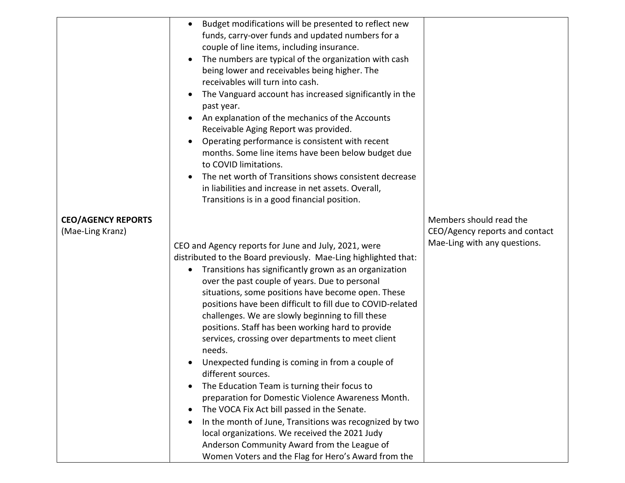|                                               | Budget modifications will be presented to reflect new<br>$\bullet$<br>funds, carry-over funds and updated numbers for a<br>couple of line items, including insurance.<br>The numbers are typical of the organization with cash<br>being lower and receivables being higher. The<br>receivables will turn into cash.<br>The Vanguard account has increased significantly in the<br>$\bullet$<br>past year.<br>An explanation of the mechanics of the Accounts<br>$\bullet$<br>Receivable Aging Report was provided.<br>Operating performance is consistent with recent<br>$\bullet$<br>months. Some line items have been below budget due<br>to COVID limitations.<br>The net worth of Transitions shows consistent decrease<br>in liabilities and increase in net assets. Overall,<br>Transitions is in a good financial position.                                                                                        |                                                                                           |
|-----------------------------------------------|---------------------------------------------------------------------------------------------------------------------------------------------------------------------------------------------------------------------------------------------------------------------------------------------------------------------------------------------------------------------------------------------------------------------------------------------------------------------------------------------------------------------------------------------------------------------------------------------------------------------------------------------------------------------------------------------------------------------------------------------------------------------------------------------------------------------------------------------------------------------------------------------------------------------------|-------------------------------------------------------------------------------------------|
| <b>CEO/AGENCY REPORTS</b><br>(Mae-Ling Kranz) | CEO and Agency reports for June and July, 2021, were<br>distributed to the Board previously. Mae-Ling highlighted that:<br>Transitions has significantly grown as an organization<br>$\bullet$<br>over the past couple of years. Due to personal<br>situations, some positions have become open. These<br>positions have been difficult to fill due to COVID-related<br>challenges. We are slowly beginning to fill these<br>positions. Staff has been working hard to provide<br>services, crossing over departments to meet client<br>needs.<br>Unexpected funding is coming in from a couple of<br>different sources.<br>The Education Team is turning their focus to<br>٠<br>preparation for Domestic Violence Awareness Month.<br>The VOCA Fix Act bill passed in the Senate.<br>$\bullet$<br>In the month of June, Transitions was recognized by two<br>$\bullet$<br>local organizations. We received the 2021 Judy | Members should read the<br>CEO/Agency reports and contact<br>Mae-Ling with any questions. |
|                                               | Anderson Community Award from the League of<br>Women Voters and the Flag for Hero's Award from the                                                                                                                                                                                                                                                                                                                                                                                                                                                                                                                                                                                                                                                                                                                                                                                                                        |                                                                                           |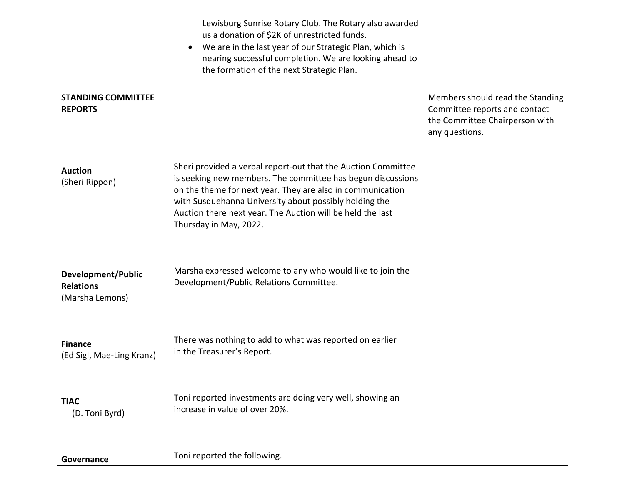|                                                           | Lewisburg Sunrise Rotary Club. The Rotary also awarded<br>us a donation of \$2K of unrestricted funds.<br>We are in the last year of our Strategic Plan, which is<br>$\bullet$<br>nearing successful completion. We are looking ahead to<br>the formation of the next Strategic Plan.                                                        |                                                                                                                       |
|-----------------------------------------------------------|----------------------------------------------------------------------------------------------------------------------------------------------------------------------------------------------------------------------------------------------------------------------------------------------------------------------------------------------|-----------------------------------------------------------------------------------------------------------------------|
| <b>STANDING COMMITTEE</b><br><b>REPORTS</b>               |                                                                                                                                                                                                                                                                                                                                              | Members should read the Standing<br>Committee reports and contact<br>the Committee Chairperson with<br>any questions. |
| <b>Auction</b><br>(Sheri Rippon)                          | Sheri provided a verbal report-out that the Auction Committee<br>is seeking new members. The committee has begun discussions<br>on the theme for next year. They are also in communication<br>with Susquehanna University about possibly holding the<br>Auction there next year. The Auction will be held the last<br>Thursday in May, 2022. |                                                                                                                       |
| Development/Public<br><b>Relations</b><br>(Marsha Lemons) | Marsha expressed welcome to any who would like to join the<br>Development/Public Relations Committee.                                                                                                                                                                                                                                        |                                                                                                                       |
| <b>Finance</b><br>(Ed Sigl, Mae-Ling Kranz)               | There was nothing to add to what was reported on earlier<br>in the Treasurer's Report.                                                                                                                                                                                                                                                       |                                                                                                                       |
| <b>TIAC</b><br>(D. Toni Byrd)                             | Toni reported investments are doing very well, showing an<br>increase in value of over 20%.                                                                                                                                                                                                                                                  |                                                                                                                       |
| Governance                                                | Toni reported the following.                                                                                                                                                                                                                                                                                                                 |                                                                                                                       |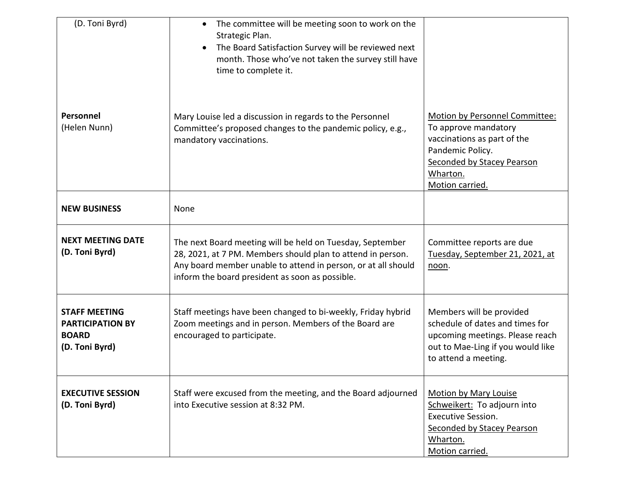| (D. Toni Byrd)                                                                    | The committee will be meeting soon to work on the<br>$\bullet$<br>Strategic Plan.<br>The Board Satisfaction Survey will be reviewed next<br>$\bullet$<br>month. Those who've not taken the survey still have<br>time to complete it.         |                                                                                                                                                                        |
|-----------------------------------------------------------------------------------|----------------------------------------------------------------------------------------------------------------------------------------------------------------------------------------------------------------------------------------------|------------------------------------------------------------------------------------------------------------------------------------------------------------------------|
| Personnel<br>(Helen Nunn)                                                         | Mary Louise led a discussion in regards to the Personnel<br>Committee's proposed changes to the pandemic policy, e.g.,<br>mandatory vaccinations.                                                                                            | Motion by Personnel Committee:<br>To approve mandatory<br>vaccinations as part of the<br>Pandemic Policy.<br>Seconded by Stacey Pearson<br>Wharton.<br>Motion carried. |
| <b>NEW BUSINESS</b>                                                               | None                                                                                                                                                                                                                                         |                                                                                                                                                                        |
| <b>NEXT MEETING DATE</b><br>(D. Toni Byrd)                                        | The next Board meeting will be held on Tuesday, September<br>28, 2021, at 7 PM. Members should plan to attend in person.<br>Any board member unable to attend in person, or at all should<br>inform the board president as soon as possible. | Committee reports are due<br>Tuesday, September 21, 2021, at<br>noon.                                                                                                  |
| <b>STAFF MEETING</b><br><b>PARTICIPATION BY</b><br><b>BOARD</b><br>(D. Toni Byrd) | Staff meetings have been changed to bi-weekly, Friday hybrid<br>Zoom meetings and in person. Members of the Board are<br>encouraged to participate.                                                                                          | Members will be provided<br>schedule of dates and times for<br>upcoming meetings. Please reach<br>out to Mae-Ling if you would like<br>to attend a meeting.            |
| <b>EXECUTIVE SESSION</b><br>(D. Toni Byrd)                                        | Staff were excused from the meeting, and the Board adjourned<br>into Executive session at 8:32 PM.                                                                                                                                           | <b>Motion by Mary Louise</b><br>Schweikert: To adjourn into<br><b>Executive Session.</b><br>Seconded by Stacey Pearson<br>Wharton.<br>Motion carried.                  |